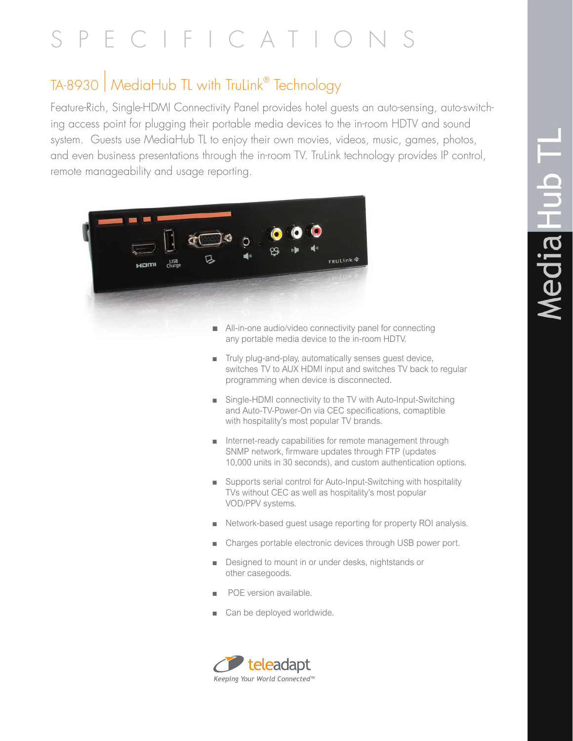# SPECIFICATION

## TA-8930 | MediaHub TL with TruLink® Technology

Feature-Rich, Single-HDMI Connectivity Panel provides hotel guests an auto-sensing, auto-switching access point for plugging their portable media devices to the in-room HDTV and sound system. Guests use MediaHub TL to enjoy their own movies, videos, music, games, photos, and even business presentations through the in-room TV. TruLink technology provides IP control, remote manageability and usage reporting.



- $\blacksquare$  All-in-one audio/video connectivity panel for connecting any portable media device to the in-room HDTV.
- $\blacksquare$  Truly plug-and-play, automatically senses quest device, switches TV to AUX HDMI input and switches TV back to regular programming when device is disconnected.
- $\blacksquare$  Single-HDMI connectivity to the TV with Auto-Input-Switching and Auto-TV-Power-On via CEC specifications, comaptible with hospitality's most popular TV brands.
- $\blacksquare$  Internet-ready capabilities for remote management through SNMP network, firmware updates through FTP (updates 10,000 units in 30 seconds), and custom authentication options.
- Supports serial control for Auto-Input-Switching with hospitality TVs without CEC as well as hospitality's most popular VOD/PPV systems.
- <sup>n</sup> Network-based guest usage reporting for property ROI analysis.
- Charges portable electronic devices through USB power port.
- Designed to mount in or under desks, nightstands or other casegoods.
- POE version available.
- $\Box$  Can be deployed worldwide.